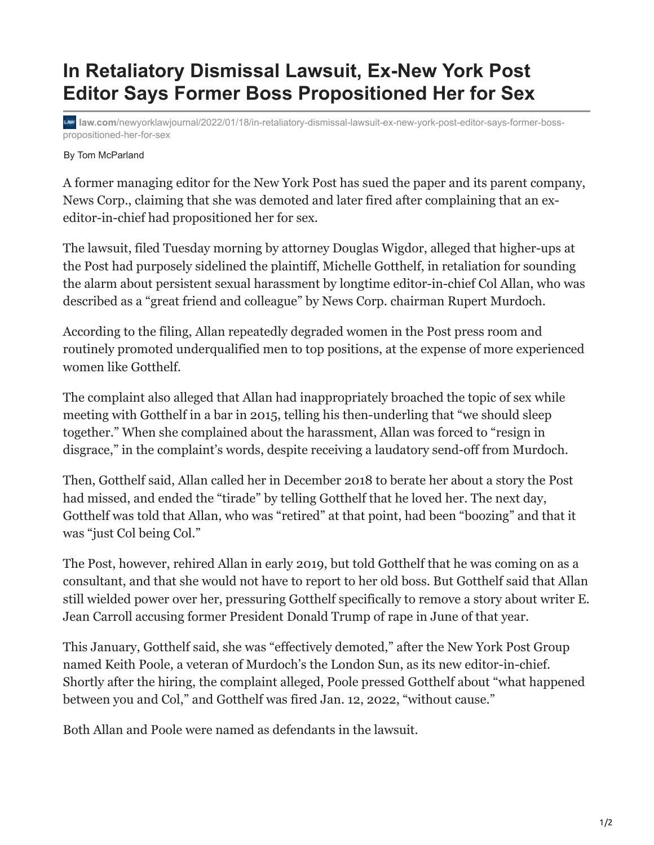## **In Retaliatory Dismissal Lawsuit, Ex-New York Post Editor Says Former Boss Propositioned Her for Sex**

**law.com**[/newyorklawjournal/2022/01/18/in-retaliatory-dismissal-lawsuit-ex-new-york-post-editor-says-former-boss](https://www.law.com/newyorklawjournal/2022/01/18/in-retaliatory-dismissal-lawsuit-ex-new-york-post-editor-says-former-boss-propositioned-her-for-sex/)propositioned-her-for-sex

## By Tom McParland

A former managing editor for the New York Post has sued the paper and its parent company, News Corp., claiming that she was demoted and later fired after complaining that an exeditor-in-chief had propositioned her for sex.

The lawsuit, filed Tuesday morning by attorney Douglas Wigdor, alleged that higher-ups at the Post had purposely sidelined the plaintiff, Michelle Gotthelf, in retaliation for sounding the alarm about persistent sexual harassment by longtime editor-in-chief Col Allan, who was described as a "great friend and colleague" by News Corp. chairman Rupert Murdoch.

According to the filing, Allan repeatedly degraded women in the Post press room and routinely promoted underqualified men to top positions, at the expense of more experienced women like Gotthelf.

The complaint also alleged that Allan had inappropriately broached the topic of sex while meeting with Gotthelf in a bar in 2015, telling his then-underling that "we should sleep together." When she complained about the harassment, Allan was forced to "resign in disgrace," in the complaint's words, despite receiving a laudatory send-off from Murdoch.

Then, Gotthelf said, Allan called her in December 2018 to berate her about a story the Post had missed, and ended the "tirade" by telling Gotthelf that he loved her. The next day, Gotthelf was told that Allan, who was "retired" at that point, had been "boozing" and that it was "just Col being Col."

The Post, however, rehired Allan in early 2019, but told Gotthelf that he was coming on as a consultant, and that she would not have to report to her old boss. But Gotthelf said that Allan still wielded power over her, pressuring Gotthelf specifically to remove a story about writer E. Jean Carroll accusing former President Donald Trump of rape in June of that year.

This January, Gotthelf said, she was "effectively demoted," after the New York Post Group named Keith Poole, a veteran of Murdoch's the London Sun, as its new editor-in-chief. Shortly after the hiring, the complaint alleged, Poole pressed Gotthelf about "what happened between you and Col," and Gotthelf was fired Jan. 12, 2022, "without cause."

Both Allan and Poole were named as defendants in the lawsuit.